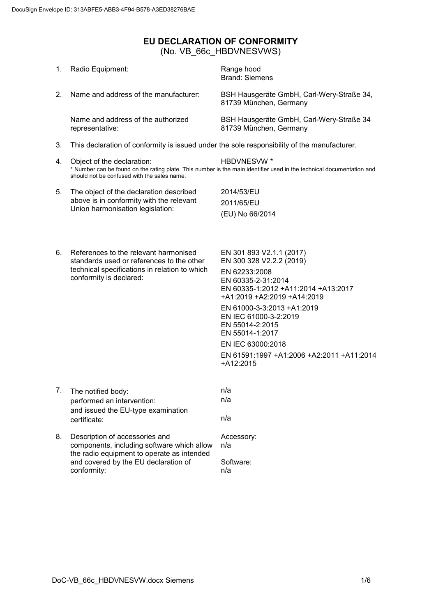## <span id="page-0-0"></span>**EU DECLARATION OF CONFORMITY** (No. VB\_66c\_HBDVNESVWS)

| 1. | Radio Equipment:                                                                                                                                                                  | Range hood<br><b>Brand: Siemens</b>                                                                                                                                                                                                                                                                                                           |  |
|----|-----------------------------------------------------------------------------------------------------------------------------------------------------------------------------------|-----------------------------------------------------------------------------------------------------------------------------------------------------------------------------------------------------------------------------------------------------------------------------------------------------------------------------------------------|--|
| 2. | Name and address of the manufacturer:                                                                                                                                             | BSH Hausgeräte GmbH, Carl-Wery-Straße 34,<br>81739 München, Germany                                                                                                                                                                                                                                                                           |  |
|    | Name and address of the authorized<br>representative:                                                                                                                             | BSH Hausgeräte GmbH, Carl-Wery-Straße 34<br>81739 München, Germany                                                                                                                                                                                                                                                                            |  |
| 3. | This declaration of conformity is issued under the sole responsibility of the manufacturer.                                                                                       |                                                                                                                                                                                                                                                                                                                                               |  |
| 4. | Object of the declaration:<br>should not be confused with the sales name.                                                                                                         | <b>HBDVNESVW*</b><br>* Number can be found on the rating plate. This number is the main identifier used in the technical documentation and                                                                                                                                                                                                    |  |
| 5. | The object of the declaration described<br>above is in conformity with the relevant<br>Union harmonisation legislation:                                                           | 2014/53/EU<br>2011/65/EU<br>(EU) No 66/2014                                                                                                                                                                                                                                                                                                   |  |
| 6. | References to the relevant harmonised<br>standards used or references to the other<br>technical specifications in relation to which<br>conformity is declared:                    | EN 301 893 V2.1.1 (2017)<br>EN 300 328 V2.2.2 (2019)<br>EN 62233:2008<br>EN 60335-2-31:2014<br>EN 60335-1:2012 +A11:2014 +A13:2017<br>+A1:2019 +A2:2019 +A14:2019<br>EN 61000-3-3:2013 +A1:2019<br>EN IEC 61000-3-2:2019<br>EN 55014-2:2015<br>EN 55014-1:2017<br>EN IEC 63000:2018<br>EN 61591:1997 +A1:2006 +A2:2011 +A11:2014<br>+A12:2015 |  |
| 7. | The notified body:<br>performed an intervention:<br>and issued the EU-type examination<br>certificate:                                                                            | n/a<br>n/a<br>n/a                                                                                                                                                                                                                                                                                                                             |  |
| 8. | Description of accessories and<br>components, including software which allow<br>the radio equipment to operate as intended<br>and covered by the EU declaration of<br>conformity: | Accessory:<br>n/a<br>Software:<br>n/a                                                                                                                                                                                                                                                                                                         |  |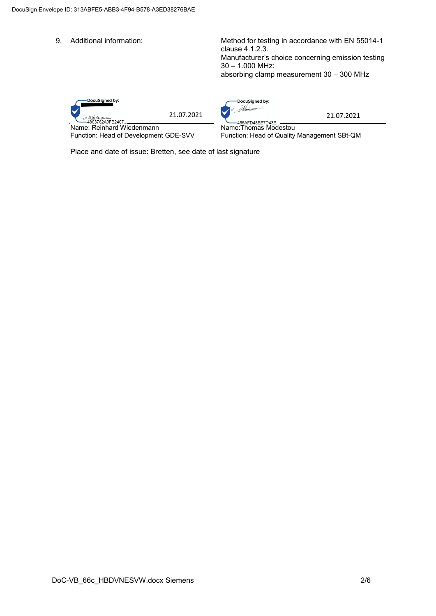9. Additional information: Method for testing in accordance with EN 55014-1 clause 4.1.2.3. Manufacturer's choice concerning emission testing 30 – 1.000 MHz: absorbing clamp measurement 30 – 300 MHz



Name: Reinhard Wiedenmann Function: Head of Development GDE-SVV

DocuSigned by: 21.07.2021 21.07.2021

Name:Thomas Modestou Function: Head of Quality Management SBt-QM

Place and date of issue: Bretten, see date of last signature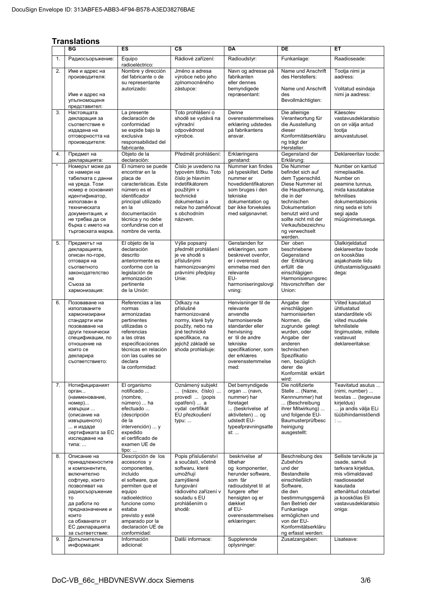## **Translations**

|          | BG                                                                                                                                                                                                                                                   | ES                                                                                                                                                                                                                                                                   | $\overline{\text{cs}}$                                                                                                                                                                    | <b>DA</b>                                                                                                                                                                                                          | DE                                                                                                                                                                                                                                                            | ET                                                                                                                                                                                                      |
|----------|------------------------------------------------------------------------------------------------------------------------------------------------------------------------------------------------------------------------------------------------------|----------------------------------------------------------------------------------------------------------------------------------------------------------------------------------------------------------------------------------------------------------------------|-------------------------------------------------------------------------------------------------------------------------------------------------------------------------------------------|--------------------------------------------------------------------------------------------------------------------------------------------------------------------------------------------------------------------|---------------------------------------------------------------------------------------------------------------------------------------------------------------------------------------------------------------------------------------------------------------|---------------------------------------------------------------------------------------------------------------------------------------------------------------------------------------------------------|
| 1.       | Радиосъоръжение:                                                                                                                                                                                                                                     | Equipo<br>radioeléctrico:                                                                                                                                                                                                                                            | Rádiové zařízení:                                                                                                                                                                         | Radioudstyr:                                                                                                                                                                                                       | Funkanlage:                                                                                                                                                                                                                                                   | Raadioseade:                                                                                                                                                                                            |
| 2.       | Име и адрес на<br>производителя:<br>Име и адрес на                                                                                                                                                                                                   | Nombre y dirección<br>del fabricante o de<br>su representante<br>autorizado:                                                                                                                                                                                         | Jméno a adresa<br>výrobce nebo jeho<br>zplnomocněného<br>zástupce:                                                                                                                        | Navn og adresse på<br>fabrikanten<br>eller dennes<br>bemyndigede<br>repræsentant:                                                                                                                                  | Name und Anschrift<br>des Herstellers:<br>Name und Anschrift<br>des                                                                                                                                                                                           | Tootja nimi ja<br>aadress:<br>Volitatud esindaja<br>nimi ja aadress:                                                                                                                                    |
|          | упълномощеня<br>представител:                                                                                                                                                                                                                        |                                                                                                                                                                                                                                                                      |                                                                                                                                                                                           |                                                                                                                                                                                                                    | Bevollmächtigten:                                                                                                                                                                                                                                             |                                                                                                                                                                                                         |
| 3.       | Настоящата<br>декларация за<br>съответствие е<br>издадена на<br>отговорността на<br>производителя:                                                                                                                                                   | La presente<br>declaración de<br>conformidad<br>se expide bajo la<br>exclusiva<br>responsabilidad del<br>fabricante.                                                                                                                                                 | Toto prohlášení o<br>shodě se vydává na<br>výhradní<br>odpovědnost<br>výrobce.                                                                                                            | Denne<br>overensstemmelses<br>erklæring udstedes<br>på fabrikantens<br>ansvar.                                                                                                                                     | Die alleinige<br>Verantwortung für<br>die Ausstellung<br>dieser<br>Konformitätserkläru<br>ng trägt der<br>Hersteller.                                                                                                                                         | Käesolev<br>vastavusdeklaratsio<br>on on välja antud<br>tootia<br>ainuvastutusel.                                                                                                                       |
| 4.       | Предмет на<br>декларацията:                                                                                                                                                                                                                          | Objeto de la<br>declaración:                                                                                                                                                                                                                                         | Předmět prohlášení:                                                                                                                                                                       | Erklæringens<br>qenstand:                                                                                                                                                                                          | Gegenstand der<br>Erklärung:                                                                                                                                                                                                                                  | Deklareeritav toode:                                                                                                                                                                                    |
| $\star$  | Номерът може да<br>се намери на<br>табелката с данни<br>на уреда. Този<br>номер е основният<br>идентификатор,<br>използван в<br>техническата<br>документация, и<br>не трябва да се<br>бърка с името на<br>търговската марка.                         | El número se puede<br>encontrar en la<br>placa de<br>características. Este<br>número es el<br>identificador<br>principal utilizado<br>en la<br>documentación<br>técnica y no debe<br>confundirse con el<br>nombre de venta.                                          | Číslo je uvedeno na<br>typovém štítku. Toto<br>číslo je hlavním<br>indetifikátorem<br>použitým v<br>technické<br>dokumentaci a<br>nelze ho zaměňovat<br>s obchodním<br>názvem.            | Nummer kan findes<br>på typeskiltet. Dette<br>nummer er<br>hovedidentifikatoren<br>som bruges i den<br>tekniske<br>dokumentation og<br>bør ikke forveksles<br>med salgsnavnet.                                     | Die Nummer<br>befindet sich auf<br>dem Typenschild.<br>Diese Nummer ist<br>die Hauptkennung,<br>die in der<br>technischen<br><b>Dokumentation</b><br>benutzt wird und<br>sollte nicht mit der<br>Verkaufsbezeichnu<br>ng verwechselt<br>werden.               | Number on kantud<br>nimeplaadile.<br>Number on<br>peamine tunnus,<br>mida kasutatakse<br>tehnilises<br>dokumentatsioonis<br>ning seda ei tohi<br>segi ajada<br>müüginimetusega.                         |
| 5.       | Предметът на<br>декларацията,<br>описан по-горе,<br>отговаря на<br>съответното<br>законодателство<br>на<br>Съюза за<br>хармонизация:                                                                                                                 | El objeto de la<br>declaración<br>descrito<br>anteriormente es<br>conforme con la<br>legislación de<br>armonización<br>pertinente<br>de la Unión:                                                                                                                    | Výše popsaný<br>předmět prohlášení<br>je ve shodě s<br>příslušnými<br>harmonizovanými<br>právními předpisy<br>Unie:                                                                       | Genstanden for<br>erklæringen, som<br>beskrevet ovenfor,<br>er i overensst<br>emmelse med den<br>relevante<br>EU-<br>harmoniseringslovgi<br>vning:                                                                 | Der oben<br>beschriebene<br>Gegenstand<br>der Erklärung<br>erfüllt die<br>einschlägigen<br>Harmonisierungsrec<br>htsvorschriften der<br>Union:                                                                                                                | Ülalkirjeldatud<br>deklareeritav toode<br>on kooskõlas<br>asjakohaste liidu<br>ühtlustamisõigusakti<br>dega:                                                                                            |
| 6.       | Позоваване на<br>използваните<br>хармонизирани<br>стандарти или<br>позоваване на<br>други технически<br>спецификации, по<br>отношение на<br>които се<br>декларира<br>съответствието:                                                                 | Referencias a las<br>normas<br>armonizadas<br>pertinentes<br>utilizadas o<br>referencias<br>a las otras<br>especificaciones<br>técnicas en relación<br>con las cuales se<br>declara<br>la conformidad:                                                               | Odkazy na<br>příslušné<br>harmonizované<br>normy, které byly<br>použity, nebo na<br>jiné technické<br>specifikace, na<br>jejichž základě se<br>shoda prohlašuje:                          | Henvisninger til de<br>relevante<br>anvendte<br>harmoniserede<br>standarder eller<br>henvisning<br>er til de andre<br>tekniske<br>specifikationer, som<br>der erklæres<br>overensstemmelse<br>med:                 | Angabe der<br>einschlägigen<br>harmonisierten<br>Normen, die<br>zugrunde gelegt<br>wurden, oder<br>Angabe der<br>anderen<br>technischen<br>Spezifikatio<br>nen, bezüglich<br>derer die<br>Konformität erklärt<br>wird:                                        | Viited kasutatud<br>ühtlustatud<br>standarditele või<br>viited muudele<br>tehnilistele<br>tingimustele, millele<br>vastavust<br>deklareeritakse:                                                        |
| 7.       | Нотифицираният<br>орган<br>(наименование,<br>номер)<br>извърши<br>(описание на<br>извършеното)<br>и издаде<br>сертификата за ЕС<br>изследване на<br>типа:                                                                                            | El organismo<br>notificado<br>(nombre,<br>número)  ha<br>efectuado<br>(descripción<br>de la<br>intervención)  y<br>expedido<br>el certificado de<br>examen UE de<br>$tipo: $                                                                                         | Oznámený subjekt<br>(název, číslo)<br>provedl  (popis<br>opatření)  a<br>vydal certifikát<br>EU přezkoušení<br>typu:                                                                      | Det bemyndigede<br>organ  (navn,<br>nummer) har<br>foretaget<br>(beskrivelse af<br>aktiviteten)  og<br>udstedt EU-<br>typeafprøvningsatte<br>st:                                                                   | Die notifizierte<br>Stelle  (Name,<br>Kennnummer) hat<br>(Beschreibung<br>ihrer Mitwirkung)<br>und folgende EU-<br>Baumusterprüfbesc<br>heinigung<br>ausgestellt:                                                                                             | Teavitatud asutus<br>(nimi, number)<br>teostas  (tegevuse<br>kirjeldus)<br>ja andis välja ELi<br>tüübihindamistõendi<br>÷                                                                               |
| 8.<br>9. | Описание на<br>принадлежностите<br>и компонентите,<br>включително<br>софтуер, които<br>позволяват на<br>радиосъоръжение<br>TO<br>да работи по<br>предназначение и<br>КОИТО<br>са обхванати от<br>ЕС декларацията<br>за съответствие:<br>Допълнителна | Descripción de los<br>accesorios y<br>componentes,<br>incluido<br>el software, que<br>permiten que el<br>equipo<br>radioeléctrico<br>funcione como<br>estaba<br>previsto y esté<br>amparado por la<br>declaración UE de<br>conformidad:<br>Información<br>adicional: | Popis příslušenství<br>a součástí, včetně<br>softwaru, které<br>umožňují<br>zamýšlené<br>fungování<br>rádiového zařízení v<br>souladu s EU<br>prohlášením o<br>shodě:<br>Další informace: | beskrivelse af<br>tilbehør<br>og komponenter,<br>herunder software,<br>som får<br>radioudstyret til at<br>fungere efter<br>hensigten og er<br>dækket<br>af EU-<br>overensstemmelses<br>erklæringen:<br>Supplerende | Beschreibung des<br>Zubehörs<br>und der<br><b>Bestandteile</b><br>einschließlich<br>Software,<br>die den<br>bestimmungsgemä<br>ßen Betrieb der<br>Funkanlage<br>ermöglichen und<br>von der EU-<br>Konformitätserkläru<br>ng erfasst werden:<br>Zusatzangaben: | Selliste tarvikute ja<br>osade, samuti<br>tarkvara kirjeldus,<br>mis võimaldavad<br>raadioseadet<br>kasutada<br>ettenähtud otstarbel<br>ja kooskõlas Eli<br>vastavusdeklaratsio<br>oniga:<br>Lisateave: |
|          | информация:                                                                                                                                                                                                                                          |                                                                                                                                                                                                                                                                      |                                                                                                                                                                                           | oplysninger:                                                                                                                                                                                                       |                                                                                                                                                                                                                                                               |                                                                                                                                                                                                         |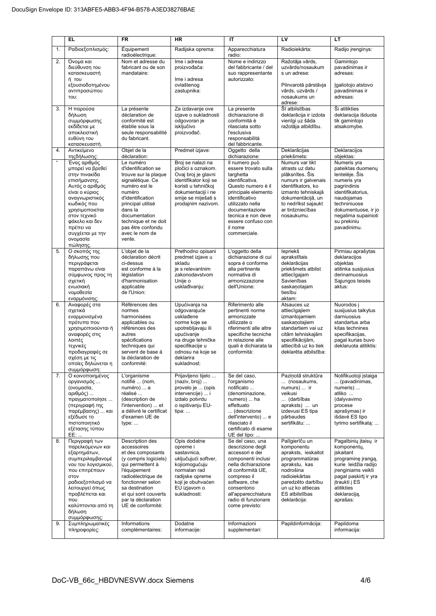|               | <b>EL</b>                                                                                                                                                                                                                                             | <b>FR</b>                                                                                                                                                                                                                                             | <b>HR</b>                                                                                                                                                                                | IT                                                                                                                                                                                                                                                | LV                                                                                                                                                                                                     | LT                                                                                                                                                                                                              |
|---------------|-------------------------------------------------------------------------------------------------------------------------------------------------------------------------------------------------------------------------------------------------------|-------------------------------------------------------------------------------------------------------------------------------------------------------------------------------------------------------------------------------------------------------|------------------------------------------------------------------------------------------------------------------------------------------------------------------------------------------|---------------------------------------------------------------------------------------------------------------------------------------------------------------------------------------------------------------------------------------------------|--------------------------------------------------------------------------------------------------------------------------------------------------------------------------------------------------------|-----------------------------------------------------------------------------------------------------------------------------------------------------------------------------------------------------------------|
| 1.            | Ραδιοεξοπλισμός:                                                                                                                                                                                                                                      | Équipement<br>radioélectrique:                                                                                                                                                                                                                        | Radijska oprema:                                                                                                                                                                         | Apparecchiatura<br>radio:                                                                                                                                                                                                                         | Radioiekārta:                                                                                                                                                                                          | Radijo įrenginys:                                                                                                                                                                                               |
| 2.            | Όνομα και<br>διεύθυνση του<br>κατασκευαστή<br>ή του<br>εξουσιοδοτημένου<br>αντιπροσώπου<br>TOU:                                                                                                                                                       | Nom et adresse du<br>fabricant ou de son<br>mandataire:                                                                                                                                                                                               | Ime i adresa<br>proizvođača:<br>Ime i adresa<br>ovlaštenog<br>zastupnika:                                                                                                                | Nome e indirizzo<br>del fabbricante / del<br>suo rappresentante<br>autorizzato:                                                                                                                                                                   | Ražotāja vārds,<br>uzvārds/nosaukum<br>s un adrese:<br>Pilnvarotā pārstāvja<br>vārds, uzvārds /<br>nosaukums un<br>adrese:                                                                             | Gamintojo<br>pavadinimas ir<br>adresas:<br>Igaliotojo atstovo<br>pavadinimas ir<br>adresas:                                                                                                                     |
| 3.            | Η παρούσα<br>δήλωση<br>συμμόρφωσης<br>εκδίδεται με<br>αποκλειστική<br>ευθύνη του<br>κατασκευαστή.                                                                                                                                                     | La présente<br>déclaration de<br>conformité est<br>établie sous la<br>seule responsabilité<br>du fabricant.                                                                                                                                           | Za izdavanje ove<br>izjave o sukladnosti<br>odgovoran je<br>isključivo<br>proizvođač.                                                                                                    | La presente<br>dichiarazione di<br>conformità è<br>rilasciata sotto<br>l'esclusiva<br>responsabilità<br>del fabbricante.                                                                                                                          | Šī atbilstības<br>deklarācija ir izdota<br>vienīgi uz šāda<br>ražotāja atbildību.                                                                                                                      | Ši atitikties<br>deklaracija išduota<br>tik gamintojo<br>atsakomybe.                                                                                                                                            |
| 4.            | Αντικείμενο<br>τηςδήλωσης:                                                                                                                                                                                                                            | Objet de la<br>déclaration:                                                                                                                                                                                                                           | Predmet izjave:                                                                                                                                                                          | Oggetto della<br>dichiarazione:                                                                                                                                                                                                                   | Deklarācijas<br>priekšmets:                                                                                                                                                                            | Deklaracijos<br>objektas:                                                                                                                                                                                       |
| $\pmb{\star}$ | Ένας αριθμός<br>μπορεί να βρεθεί<br>στην πινακίδα<br>επισήμανσης.<br>Αυτός ο αριθμός<br>είναι ο κύριος<br>αναγνωριστικός<br>κωδικός που<br>χρησιμοποιείται<br>στον τεχνικό<br>φάκελο και δεν<br>πρέπει να<br>συγχέεται με την<br>ονομασία<br>πώλησης. | Le numéro<br>d'identification se<br>trouve sur la plaque<br>signalétique. Ce<br>numéro est le<br>numéro<br>d'identification<br>principal utilisé<br>dans la<br>documentation<br>technique et ne doit<br>pas être confondu<br>avec le nom de<br>vente. | Broj se nalazi na<br>pločici s oznakom.<br>Ovaj broj je glavni<br>identifikator koji se<br>koristi u tehničkoj<br>dokumentaciji i ne<br>smije se miješati s<br>prodajnim nazivom.        | Il numero può<br>essere trovato sulla<br>targhetta<br>identificativa.<br>Questo numero è il<br>principale elemento<br>identificativo<br>utilizzato nella<br>documentazione<br>tecnica e non deve<br>essere confuso con<br>il nome<br>commerciale. | Numurs var tikt<br>atrasts uz datu<br>plāksnītes. Šis<br>numurs ir galvenais<br>identifikators, ko<br>izmanto tehniskajā<br>dokumentācijā, un<br>to nedrīkst sajaukt<br>ar tirdzniecības<br>nosaukumu. | Numeris yra<br>pateiktas duomenų<br>lentelėje. Šis<br>numeris yra<br>pagrindinis<br>identifikatorius,<br>naudoiamas<br>techniniuose<br>dokumentuose, ir jo<br>negalima supainioti<br>su prekiniu<br>pavadinimu. |
| 5.            | Ο σκοπός της<br>δήλωσης που<br>περιγράφεται<br>παραπάνω είναι<br>σύμφωνος προς τη<br>σχετική<br>ενωσιακή<br>νομοθεσία<br>εναρμόνισης:                                                                                                                 | L'objet de la<br>déclaration décrit<br>ci-dessus<br>est conforme à la<br>législation<br>d'harmonisation<br>applicable<br>de l'Union:                                                                                                                  | Prethodno opisani<br>predmet izjave u<br>skladu<br>je s relevantnim<br>zakonodavstvom<br>Unije o<br>usklađivanju:                                                                        | L'oggetto della<br>dichiarazione di cui<br>sopra è conforme<br>alla pertinente<br>normativa di<br>armonizzazione<br>dell'Unione:                                                                                                                  | lepriekš<br>aprakstītais<br>deklarācijas<br>priekšmets atbilst<br>attiecīgajam<br>Savienības<br>saskanotajam<br>tiesību<br>aktam:                                                                      | Pirmiau aprašytas<br>deklaracijos<br>objektas<br>atitinka susijusius<br>derinamuosius<br>Sąjungos teisės<br>aktus:                                                                                              |
| 6.            | Αναφορές στα<br>σχετικά<br>εναρμονισμένα<br>πρότυπα που<br>χρησιμοποιούνται ή<br>αναφορές στις<br>λοιπές<br>τεχνικές<br>προδιαγραφές σε<br>σχέση με τις<br>οποίες δηλώνεται η<br>συμμόρφωση:                                                          | Références des<br>normes<br>harmonisées<br>applicables ou<br>références des<br>autres<br>spécifications<br>techniques qui<br>servent de base à<br>la déclaration de<br>conformité:                                                                    | Upućivanja na<br>odgovarajuće<br>usklađene<br>norme koje se<br>upotrebljavaju ili<br>upućivanje<br>na druge tehničke<br>specifikacije u<br>odnosu na koje se<br>deklarira<br>sukladnost: | Riferimento alle<br>pertinenti norme<br>armonizzate<br>utilizzate o<br>riferimenti alle altre<br>specifiche tecniche<br>in relazione alle<br>quali è dichiarata la<br>conformità:                                                                 | Atsauces uz<br>attiecīgajiem<br>izmantojamiem<br>saskanotajiem<br>standartiem vai uz<br>citām tehniskajām<br>specifikācijām,<br>attiecībā uz ko tiek<br>deklarēta atbilstība:                          | Nuorodos j<br>susijusius taikytus<br>darniuosius<br>standartus arba<br>kitas technines<br>specifikacijas,<br>pagal kurias buvo<br>deklaruota atitiktis:                                                         |
| 7.<br>8.      | Ο κοινοποιημένος<br>οργανισμός<br>(ονομασία,<br>αριθμός)<br>πραγματοποίησε<br>(περιγραφή της<br>παρέμβασης)  και<br>εξέδωσε το<br>πιστοποιητικό<br>εξέτασης τύπου<br>EE:<br>Περιγραφή των                                                             | L'organisme<br>notifié  (nom,<br>numéro)  a<br>réalisé<br>(description de<br>l'intervention)  et<br>a délivré le certificat<br>d'examen UE de<br>type:<br>Description des                                                                             | Prijavljeno tijelo<br>(naziv, broj)<br>provelo je  (opis<br>intervencije)  i<br>izdalo potvrdu<br>o ispitivanju EU-<br>tipa:<br>Opis dodatne                                             | Se del caso.<br>l'organismo<br>notificato<br>(denominazione,<br>numero)  ha<br>effettuato<br>(descrizione<br>dell'intervento)  e<br>rilasciato il<br>certificato di esame<br>UE del tipo:<br>Se del caso, una                                     | Paziņotā struktūra<br>(nosaukums,<br>numurs)  ir<br>veikusi<br>(darbības<br>apraksts)  un<br>izdevusi ES tipa<br>pārbaudes<br>sertifikātu:<br>Palīgierīču un                                           | Notifikuotoji įstaiga<br>(pavadinimas,<br>numeris)<br>atliko<br>(dalyvavimo<br>procese<br>aprašymas) ir<br>išdavė ES tipo<br>tyrimo sertifikatą:<br>Pagalbiniu itaisu ir                                        |
| 9.            | παρελκόμενων και<br>εξαρτημάτων,<br>συμπεριλαμβανομέ<br>νου του λογισμικού,<br>που επιτρέπουν<br>στον<br>ραδιοεξοπλισμό να<br>λειτουργεί όπως<br>προβλέπεται και<br>TTOU<br>καλύπτονται από τη<br>δήλωση<br>συμμόρφωσης:<br>Συμπληρωματικές           | accessoires<br>et des composants<br>(y compris logiciels)<br>qui permettent à<br>l'équipement<br>radioélectrique de<br>fonctionner selon<br>sa destination<br>et qui sont couverts<br>par la déclaration<br>UE de conformité:<br>Informations         | opreme i<br>sastavnica,<br>uključujući softver,<br>kojiomogućuju<br>normalan rad<br>radijske opreme<br>koji je obuhvaćen<br>EU izjavom o<br>sukladnosti:<br>Dodatne                      | descrizione degli<br>accessori e dei<br>componenti inclusi<br>nella dichiarazione<br>di conformità UE,<br>compreso il<br>software, che<br>consentono<br>all'apparecchiatura<br>radio di funzionare<br>come previsto:<br>Informazioni              | komponentu<br>apraksts, ieskaitot<br>programmatūras<br>aprakstu, kas<br>nodrošina<br>radioiekārtas<br>paredzēto darbību<br>un uz ko attiecas<br>ES atbilstības<br>deklarācija:<br>Papildinformācija:   | komponenty,<br>jskaitant<br>programinę įrangą,<br>kurie leidžia radijo<br>jrenginiams veikti<br>pagal paskirti ir yra<br>jtraukti j ES<br>atitikties<br>deklaraciją,<br>aprašas:<br>Papildoma                   |
|               | πληροφορίες:                                                                                                                                                                                                                                          | complémentaires:                                                                                                                                                                                                                                      | informacije:                                                                                                                                                                             | supplementari:                                                                                                                                                                                                                                    |                                                                                                                                                                                                        | informacija:                                                                                                                                                                                                    |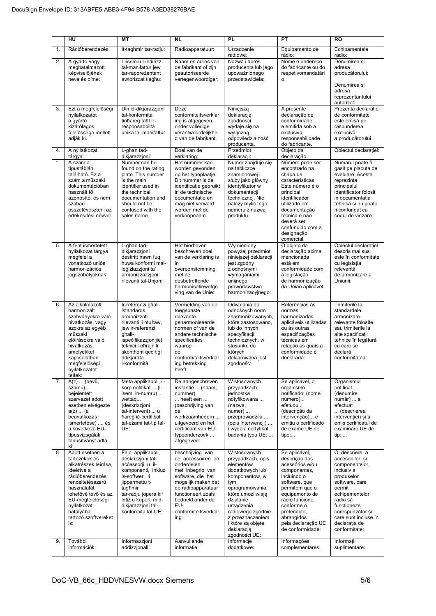|          | HU                                                                                                                                                                                                                                            | <b>MT</b>                                                                                                                                                                                                                                    | <b>NL</b>                                                                                                                                                                                                                                 | <b>PL</b>                                                                                                                                                                                                                                                                | PT                                                                                                                                                                                                                                                          | <b>RO</b>                                                                                                                                                                                                                                           |
|----------|-----------------------------------------------------------------------------------------------------------------------------------------------------------------------------------------------------------------------------------------------|----------------------------------------------------------------------------------------------------------------------------------------------------------------------------------------------------------------------------------------------|-------------------------------------------------------------------------------------------------------------------------------------------------------------------------------------------------------------------------------------------|--------------------------------------------------------------------------------------------------------------------------------------------------------------------------------------------------------------------------------------------------------------------------|-------------------------------------------------------------------------------------------------------------------------------------------------------------------------------------------------------------------------------------------------------------|-----------------------------------------------------------------------------------------------------------------------------------------------------------------------------------------------------------------------------------------------------|
| 1.       | Rádióberendezés:                                                                                                                                                                                                                              | It-tagħmir tar-radju:                                                                                                                                                                                                                        | Radioapparatuur:                                                                                                                                                                                                                          | Urządzenie<br>radiowe:                                                                                                                                                                                                                                                   | Equipamento de<br>rádio:                                                                                                                                                                                                                                    | Echipamentele<br>radio:                                                                                                                                                                                                                             |
| 2.       | A gyártó vagy<br>meghatalmazott<br>képviselőiének<br>neve és címe:                                                                                                                                                                            | L-isem u l-indirizz<br>tal-manifattur jew<br>tar-rappreżentant<br>awtorizzat tiegħu:                                                                                                                                                         | Naam en adres van<br>de fabrikant of zijn<br>qeautoriseerde<br>vertegenwoordiger:                                                                                                                                                         | Nazwa i adres<br>producenta lub jego<br>upoważnionego<br>przedstawiciela:                                                                                                                                                                                                | Nome e endereço<br>do fabricante ou do<br>respetivomandatári<br>О.                                                                                                                                                                                          | Denumirea și<br>adresa<br>producătorului:<br>Denumirea si<br>adresa<br>reprezentantului<br>autorizat:                                                                                                                                               |
| 3.       | Ezt a megfelelőségi<br>nyilatkozatot<br>a gyártó<br>kizárólagos<br>felelőssége mellett<br>adják ki.                                                                                                                                           | Din id-dikjarazzjoni<br>tal-konformità<br>tinhareg taht ir-<br>responsabbiltà<br>unika tal-manifattur.                                                                                                                                       | Deze<br>conformiteitsverklar<br>ing is afgegeven<br>onder volledige<br>verantwoordelijkhei<br>d van de fabrikant.                                                                                                                         | Niniejszą<br>deklarację<br>zgodności<br>wydaje się na<br>wyłaczna<br>odpowiedzialność<br>producenta.                                                                                                                                                                     | A presente<br>declaração de<br>conformidade<br>é emitida sob a<br>exclusiva<br>responsabilidade<br>do fabricante.                                                                                                                                           | Prezenta declarație<br>de conformitate<br>este emisă pe<br>răspunderea<br>exclusivă<br>a producătorului.                                                                                                                                            |
| 4.       | A nyilatkozat<br>tárgya:                                                                                                                                                                                                                      | L-għan tad-<br>dikjarazzjoni:                                                                                                                                                                                                                | Doel van de<br>verklaring:                                                                                                                                                                                                                | Przedmiot<br>deklaracji:                                                                                                                                                                                                                                                 | Objeto da<br>declaração:                                                                                                                                                                                                                                    | Obiectul declarației:                                                                                                                                                                                                                               |
| $\star$  | A szám a<br>típustáblán<br>található. Ez a<br>szám a műszaki<br>dokumentációban<br>használt fő<br>azonosító, és nem<br>szabad<br>összetéveszteni az<br>értékesítési névvel.                                                                   | Number can be<br>found on the rating<br>plate. This number<br>is the main<br>identifier used in<br>the technical<br>documentation and<br>should not be<br>confused with the<br>sales name.                                                   | Het nummer kan<br>worden gevonden<br>op het typeplaatje.<br>Dit nummer is de<br>identificatie gebruikt<br>in de technische<br>documentatie en<br>mag niet verward<br>worden met de<br>verkoopnaam.                                        | Numer znajduje się<br>na tabliczce<br>znamionowej i<br>służy jako główny<br>identvfikator w<br>dokumentacji<br>technicznej. Nie<br>należy mylić tego<br>numeru z nazwą<br>produktu.                                                                                      | Número pode ser<br>encontrado na<br>chapa de<br>características.<br>Este número é o<br>principal<br>identificador<br>utilizado em<br>documentação<br>técnica e não<br>deverá ser<br>confundido com a<br>designação<br>comercial.                            | Numarul poate fi<br>gasit pe placuta de<br>evaluare. Acesta<br>reprezinta<br>principalul<br>identificator folosit<br>in documentatia<br>tehnica si nu poate<br>fi confundat cu<br>codul de vinzare.                                                 |
| 5.       | A fent ismertetett<br>nyilatkozat tárgya<br>megfelel a<br>vonatkozó uniós<br>harmonizációs<br>jogszabályoknak:                                                                                                                                | L-għan tad-<br>dikjarazzjoni<br>deskritt hawn fug<br>huwa konformi mal-<br>leģiżlazzjoni ta'<br>armonizzazzjoni<br>rilevanti tal-Unjon:                                                                                                      | Het hierboven<br>beschreven doel<br>van de verklaring is<br>in<br>overeenstemming<br>met de<br>desbetreffende<br>harmonisatiewetge<br>ving van de Unie:                                                                                   | Wymieniony<br>powyżej przedmiot<br>niniejszej deklaracji<br>jest zgodny<br>z odnośnymi<br>wymaganiami<br>unijnego<br>prawodawstwa<br>harmonizacyjnego:                                                                                                                   | O objeto da<br>declaração acima<br>mencionada<br>está em<br>conformidade com<br>a legislação<br>de harmonização<br>da União aplicável:                                                                                                                      | Obiectul declarației<br>descris mai sus<br>este în conformitate<br>cu legislația<br>relevantă<br>de armonizare a<br>Uniunii:                                                                                                                        |
| 6.       | Az alkalmazott<br>harmonizált<br>szabványokra való<br>hivatkozás, vagy<br>azokra az egyéb<br>műszaki<br>előírásokra való<br>hivatkozás.<br>amelyekkel<br>kapcsolatban<br>megfelelőségi<br>nyilatkozatot<br>tettek:                            | Ir-referenzi għall-<br>istandards<br>armonizzati<br>rilevanti li ntużaw,<br>jew ir-referenzi<br>aħall-<br>ispecifikazzjonijiet<br>teknići l-oħrajn li<br>skonthom qed tigi<br>ddikjarata<br>I-konformità:                                    | Vermelding van de<br>toegepaste<br>relevante<br>geharmoniseerde<br>normen of van de<br>andere technische<br>specificaties<br>waarop<br>de<br>conformiteitsverklar<br>ing betrekking<br>heeft:                                             | Odwołania do<br>odnośnych norm<br>zharmonizowanych,<br>które zastosowano,<br>lub do innych<br>specyfikacji<br>technicznych, w<br>stosunku do<br>których<br>deklarowana jest<br>zgodność:                                                                                 | Referências às<br>normas<br>harmonizadas<br>aplicáveis utilizadas<br>ou às outras<br>especificações<br>técnicas em<br>relação às quais a<br>conformidade é<br>declarada:                                                                                    | Trimiterile la<br>standardele<br>armonizate<br>relevante folosite<br>sau trimiterile la<br>alte specificații<br>tehnice în legătură<br>cu care se<br>declară<br>conformitatea:                                                                      |
| 7.       | $A(z)$ (nevű,<br>számú)<br>bejelentett<br>szervezet adott<br>esetben elvégezte<br>a(z)  (a)<br>beavatkozás<br>ismertetése) , és<br>a következő EU-<br>típusvizsgálati<br>tanúsítványt adta<br>ki:                                             | Meta applikabbli, il-<br>korp notifikat  (I-<br>isem, in-numru)<br>wettaq<br>(deskrizzjoni<br>tal-intervent)  u<br>ħareġ iċ-ċertifikat<br>tal-eżami tat-tip tal-<br>UE:                                                                      | De aangeschreven<br>instantie  (naam,<br>nummer)<br>heeft een<br>(beschrijving van<br>de<br>werkzaamheden)<br>uitgevoerd en het<br>certificaat van EU-<br>typeonderzoek<br>afgegeven:                                                     | W stosownych<br>przypadkach,<br>jednostka<br>notyfikowana<br>(nazwa,<br>$numer)$<br>przeprowadziła<br>(opis interwencji)<br>i wydała certyfikat<br>badania typu UE:                                                                                                      | Se aplicável, o<br>organismo<br>notificado: (nome,<br>número)<br>efetuou<br>(descrição da<br>intervenção) e<br>emitiu o certificado<br>de exame UE de<br>tipo:                                                                                              | Organismul<br>notificat<br>(denumire,<br>număr)  a<br>efectuat<br>(descrierea<br>intervenției) și a<br>emis certificatul de<br>examinare UE de<br>tip:                                                                                              |
| 8.<br>9. | Adott esetben a<br>tartozékok és<br>alkatrészek leírása,<br>ideértve a<br>rádióberendezés<br>rendeltetésszerű<br>használatát<br>lehetővé tévő és az<br>EU-megfelelőségi<br>nyilatkozat<br>hatályába<br>tartozó szoftvereket<br>is:<br>További | Fejn applikabbli,<br>deskrizzjoni tal-<br>aċċessorji u il-<br>komponenti, inkluż<br>is-softwer, li<br>jippermettu t-<br>tagħmir<br>tar-radju jopera kif<br>intiż u koperti mid-<br>dikjarazzjoni tal-<br>konformità tal-UE:<br>Informazzjoni | beschrijving van<br>de accessoiren en<br>onderdelen,<br>met inbegrip van<br>software, die het<br>mogelijk maken dat<br>de radioapparatuur<br>functioneert zoals<br>bedoeld onder de<br>EU-<br>conformiteitsverklar<br>ing:<br>Aanvullende | W stosownych<br>przypadkach, opis<br>elementów<br>dodatkowych lub<br>komponentów, w<br>tym<br>oprogramowania,<br>które umożliwiają<br>działanie<br>urządzenia<br>radiowego zgodnie<br>z przeznaczeniem<br>i które są objęte<br>deklaracją<br>zgodności UE:<br>Informacje | Se aplicável,<br>descrição dos<br>acessórios e/ou<br>componentes,<br>incluindo o<br>software, que<br>permitem que o<br>equipamento de<br>rádio funcione<br>conforme o<br>pretendido,<br>abrangidos<br>pela declaração UE<br>de conformidade:<br>Informações | O descriere a<br>accesoriilor si<br>componentelor,<br>inclusiv a<br>produselor<br>software, care<br>permit<br>echipamentelor<br>radio să<br>funcționeze<br>corespunzător și<br>care sunt incluse în<br>declarația de<br>conformitate:<br>Informatii |
|          | információk:                                                                                                                                                                                                                                  | addizzjonali:                                                                                                                                                                                                                                | informatie:                                                                                                                                                                                                                               | dodatkowe:                                                                                                                                                                                                                                                               | complementares:                                                                                                                                                                                                                                             | suplimentare:                                                                                                                                                                                                                                       |